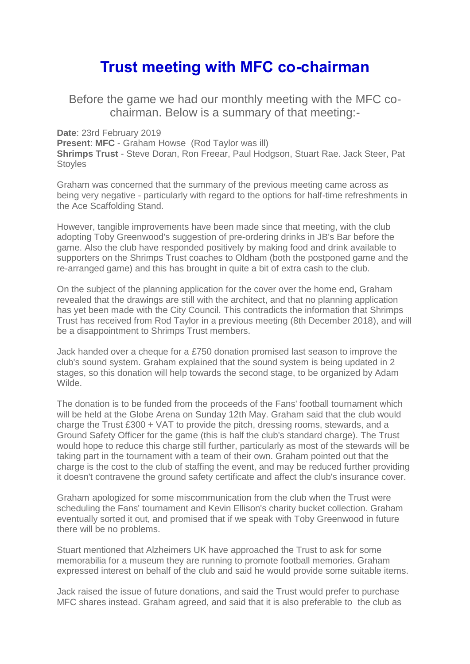## **Trust meeting with MFC co-chairman**

Before the game we had our monthly meeting with the MFC cochairman. Below is a summary of that meeting:-

**Date**: 23rd February 2019

**Present**: **MFC** - Graham Howse (Rod Taylor was ill) **Shrimps Trust** - Steve Doran, Ron Freear, Paul Hodgson, Stuart Rae. Jack Steer, Pat **Stovles** 

Graham was concerned that the summary of the previous meeting came across as being very negative - particularly with regard to the options for half-time refreshments in the Ace Scaffolding Stand.

However, tangible improvements have been made since that meeting, with the club adopting Toby Greenwood's suggestion of pre-ordering drinks in JB's Bar before the game. Also the club have responded positively by making food and drink available to supporters on the Shrimps Trust coaches to Oldham (both the postponed game and the re-arranged game) and this has brought in quite a bit of extra cash to the club.

On the subject of the planning application for the cover over the home end, Graham revealed that the drawings are still with the architect, and that no planning application has yet been made with the City Council. This contradicts the information that Shrimps Trust has received from Rod Taylor in a previous meeting (8th December 2018), and will be a disappointment to Shrimps Trust members.

Jack handed over a cheque for a £750 donation promised last season to improve the club's sound system. Graham explained that the sound system is being updated in 2 stages, so this donation will help towards the second stage, to be organized by Adam Wilde.

The donation is to be funded from the proceeds of the Fans' football tournament which will be held at the Globe Arena on Sunday 12th May. Graham said that the club would charge the Trust £300 + VAT to provide the pitch, dressing rooms, stewards, and a Ground Safety Officer for the game (this is half the club's standard charge). The Trust would hope to reduce this charge still further, particularly as most of the stewards will be taking part in the tournament with a team of their own. Graham pointed out that the charge is the cost to the club of staffing the event, and may be reduced further providing it doesn't contravene the ground safety certificate and affect the club's insurance cover.

Graham apologized for some miscommunication from the club when the Trust were scheduling the Fans' tournament and Kevin Ellison's charity bucket collection. Graham eventually sorted it out, and promised that if we speak with Toby Greenwood in future there will be no problems.

Stuart mentioned that Alzheimers UK have approached the Trust to ask for some memorabilia for a museum they are running to promote football memories. Graham expressed interest on behalf of the club and said he would provide some suitable items.

Jack raised the issue of future donations, and said the Trust would prefer to purchase MFC shares instead. Graham agreed, and said that it is also preferable to the club as